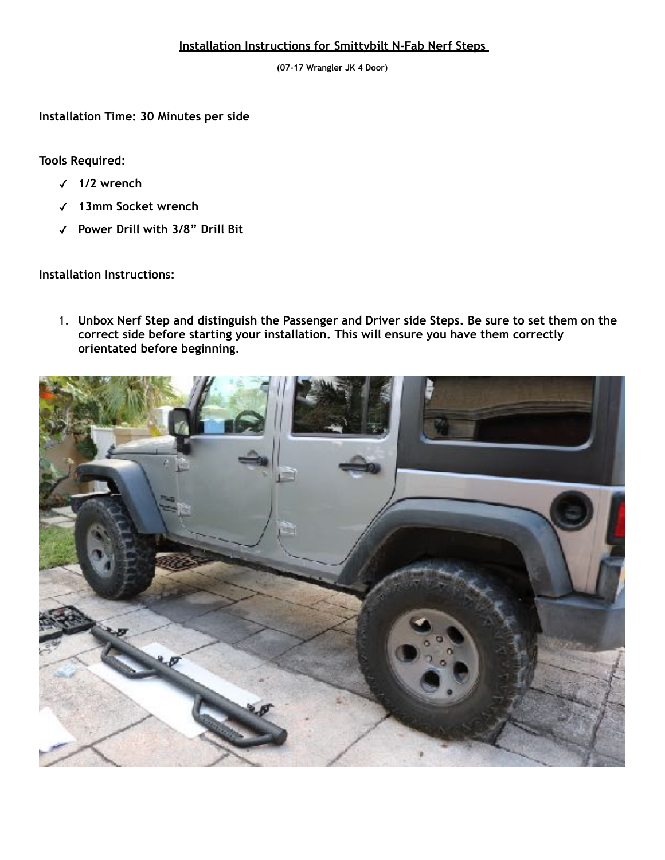## **Installation Instructions for Smittybilt N-Fab Nerf Steps**

**(07-17 Wrangler JK 4 Door)**

**Installation Time: 30 Minutes per side**

**Tools Required:** 

- ✓ **1/2 wrench**
- ✓ **13mm Socket wrench**
- ✓ **Power Drill with 3/8" Drill Bit**

**Installation Instructions:**

1. **Unbox Nerf Step and distinguish the Passenger and Driver side Steps. Be sure to set them on the correct side before starting your installation. This will ensure you have them correctly orientated before beginning.**

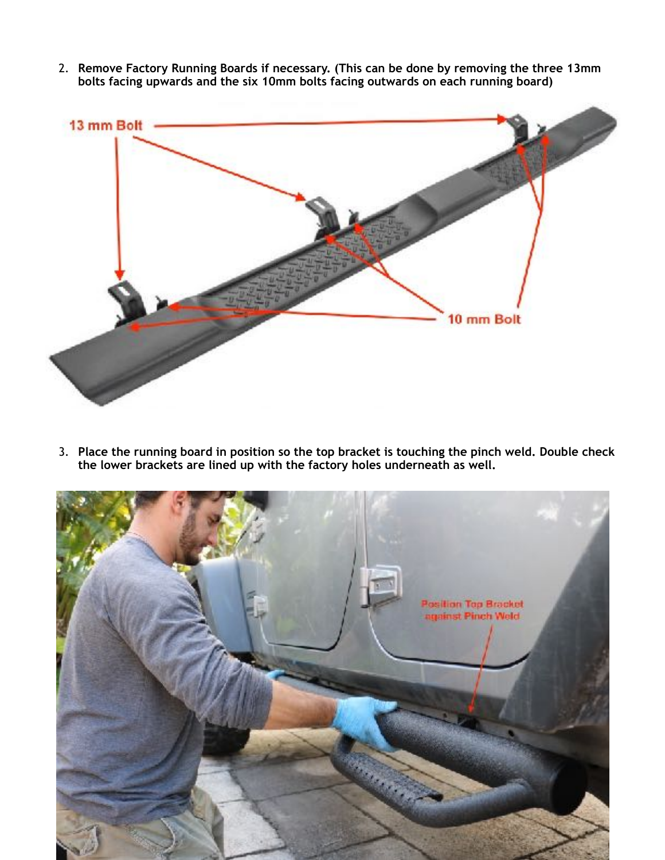2. **Remove Factory Running Boards if necessary. (This can be done by removing the three 13mm bolts facing upwards and the six 10mm bolts facing outwards on each running board)**



3. **Place the running board in position so the top bracket is touching the pinch weld. Double check the lower brackets are lined up with the factory holes underneath as well.**

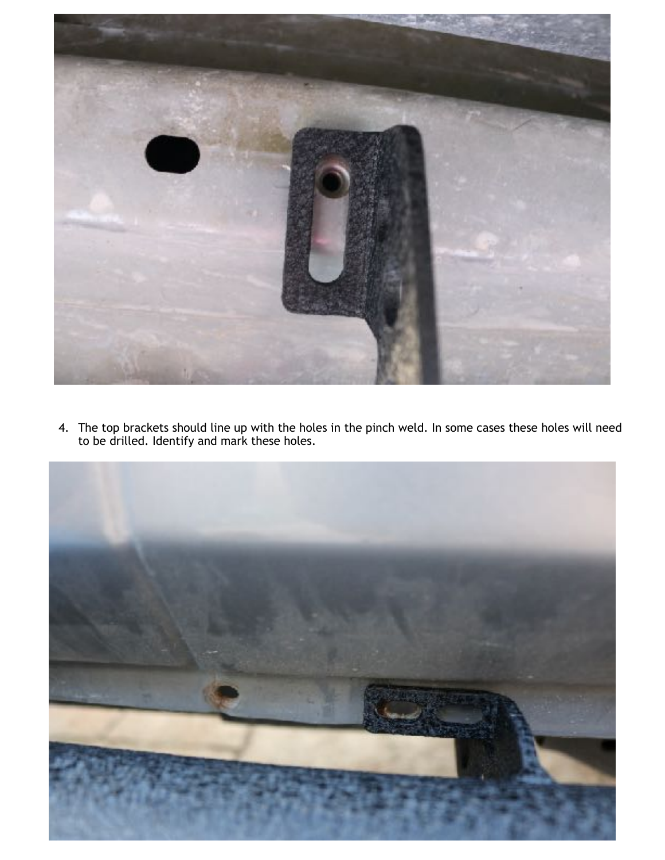

4. The top brackets should line up with the holes in the pinch weld. In some cases these holes will need to be drilled. Identify and mark these holes.

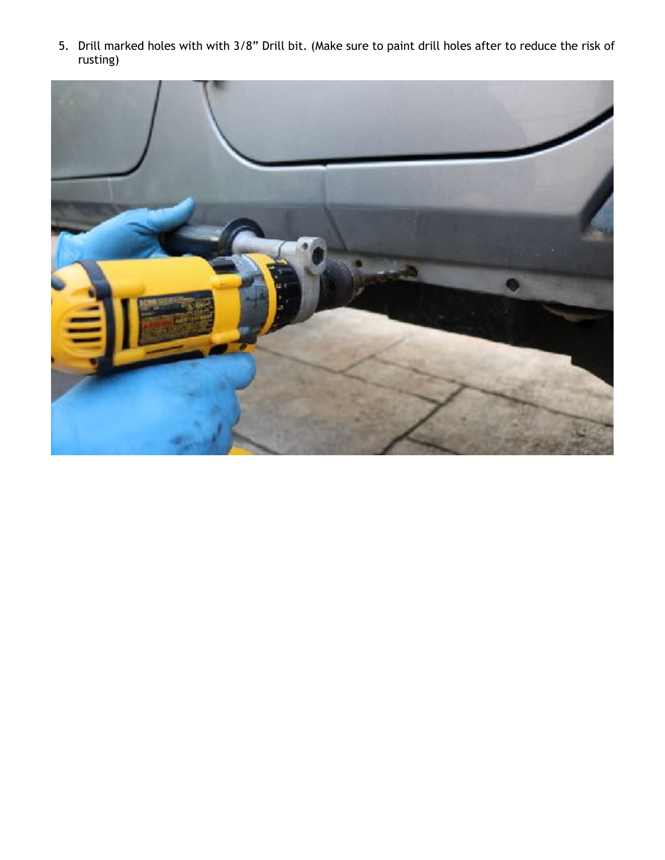5. Drill marked holes with with 3/8" Drill bit. (Make sure to paint drill holes after to reduce the risk of rusting)

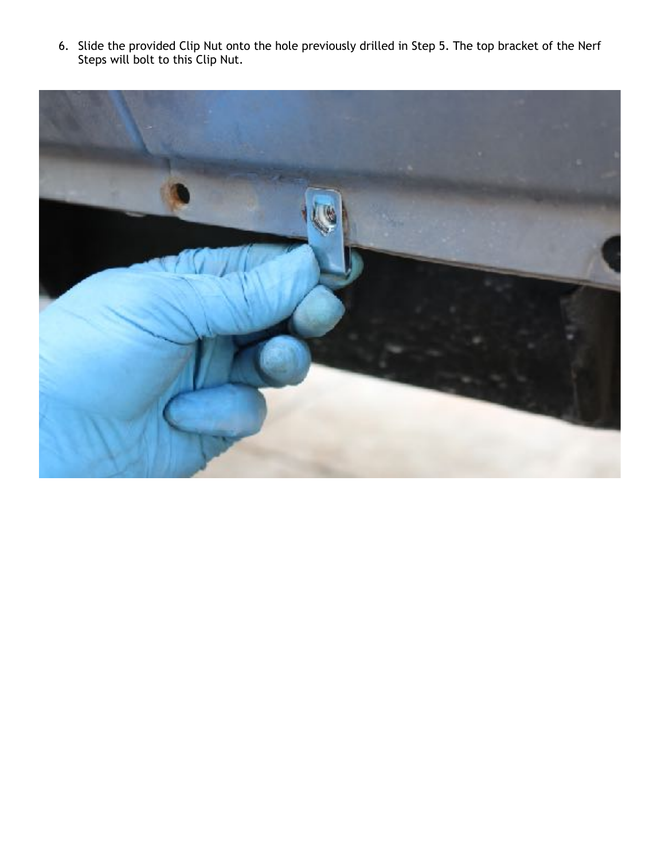6. Slide the provided Clip Nut onto the hole previously drilled in Step 5. The top bracket of the Nerf Steps will bolt to this Clip Nut.

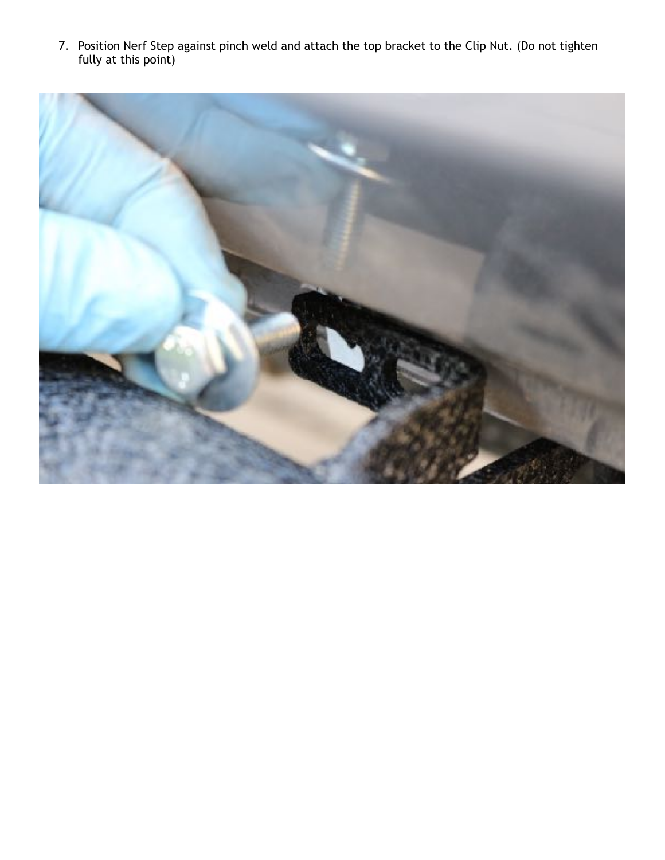7. Position Nerf Step against pinch weld and attach the top bracket to the Clip Nut. (Do not tighten fully at this point)

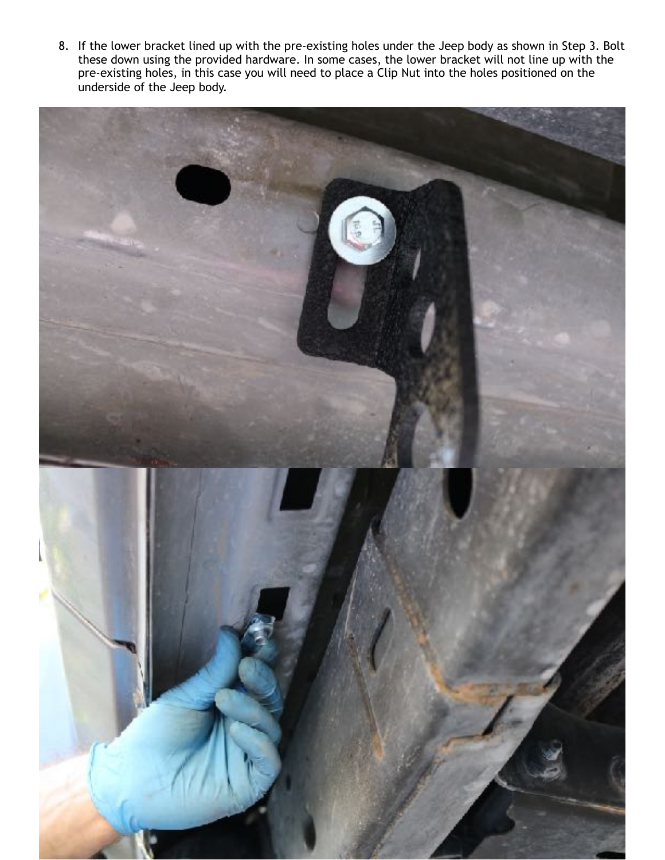8. If the lower bracket lined up with the pre-existing holes under the Jeep body as shown in Step 3. Bolt these down using the provided hardware. In some cases, the lower bracket will not line up with the pre-existing holes, in this case you will need to place a Clip Nut into the holes positioned on the underside of the Jeep body.

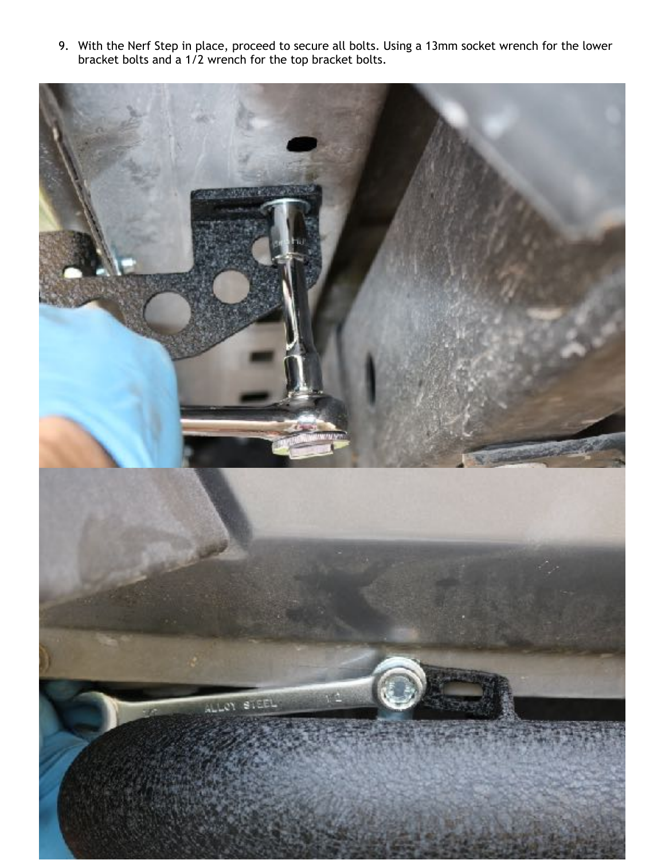9. With the Nerf Step in place, proceed to secure all bolts. Using a 13mm socket wrench for the lower bracket bolts and a 1/2 wrench for the top bracket bolts.